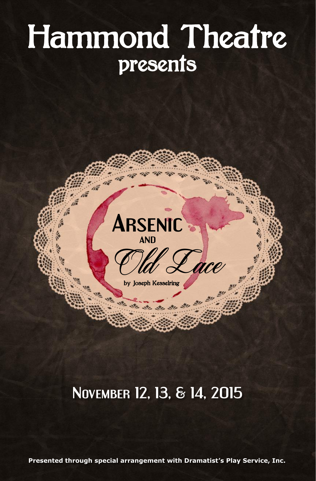# Hammond Theatre presents



海 演 演 演

by Joseph Kesselring

 $\mathbb{R}^{\prime\prime}$ 

# **November 12, 13, & 14, 2015**

**Presented through special arrangement with Dramatist's Play Service, Inc.**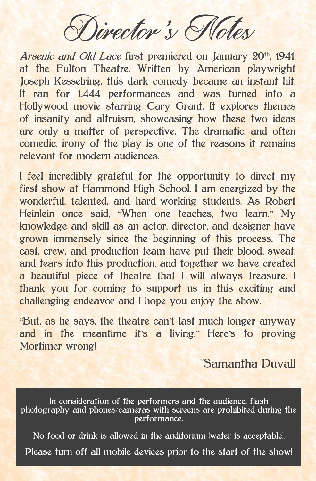Director's Motes

Arsenic and Old Lace first premiered on January 20<sup>th</sup>, 1941, at the Fulton Theatre. Written by American playwright Joseph Kesselring, this dark comedy became an instant hit. It ran for 1,444 performances and was turned into a Hollywood movie starring Cary Grant. It explores themes of insanity and altruism, showcasing how these two ideas are only a matter of perspective. The dramatic, and often comedic, irony of the play is one of the reasons it remains relevant for modern audiences.

I feel incredibly grateful for the opportunity to direct my first show at Hammond High School. I am energized by the wonderful, talented, and hard-working students. As Robert Heinlein once said, "When one teaches, two learn." My knowledge and skill as an actor, director, and designer have grown immensely since the beginning of this process. The cast, crew, and production team have put their blood, sweat, and tears into this production, and together we have created a beautiful piece of theatre that I will always treasure. I thank you for coming to support us in this exciting and challenging endeavor and I hope you enjoy the show.

"But, as he says, the theatre can't last much longer anyway and in the meantime it's a living." Here's to proving Mortimer wrong!

~Samantha Duvall

In consideration of the performers and the audience, flash photography and phones/cameras with screens are prohibited during the performance.

No food or drink is allowed in the auditorium (water is acceptable). Please turn off all mobile devices prior to the start of the show!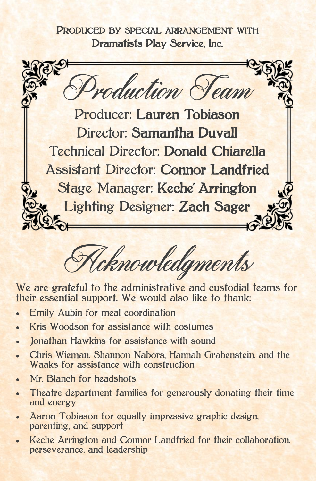PRODUCED BY SPECIAL ARRANGEMENT WITH Dramatists Play Service, Inc.



Joknowledgments

We are grateful to the administrative and custodial teams for their essential support. We would also like to thank:

- **Emily Aubin for meal coordination**
- Kris Woodson for assistance with costumes
- Jonathan Hawkins for assistance with sound
- Chris Wieman, Shannon Nabors, Hannah Grabenstein, and the Waaks for assistance with construction
- Mr. Blanch for headshots
- Theatre department families for generously donating their time and energy
- Aaron Tobiason for equally impressive graphic design, parenting, and support
- Keche Arrington and Connor Landfried for their collaboration, perseverance, and leadership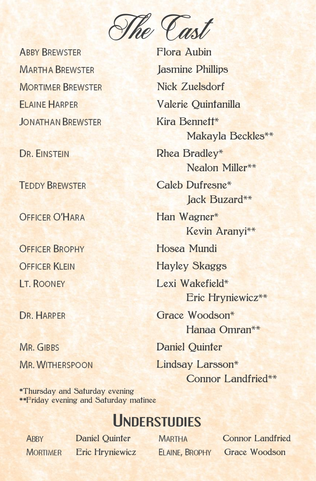

**ABBY BREWSTER MARTHA BREWSTER MORTIMER BREWSTER FI AINE HARPER JONATHAN BREWSTER** 

**DR. FINSTEIN** 

**TEDDY BREWSTER** 

**OFFICER O'HARA** 

**OFFICER BROPHY OFFICER KLEIN IT. ROONEY** 

DR. HARPER

MR. GIBBS **MR. WITHERSPOON**  Flora Aubin Jasmine Phillips Nick Zuelsdorf Valerie Quintanilla Kira Bennett Makayla Beckles Rhea Bradley Nealon Miller\*\* Caleb Dufresne **Jack Buzard**\*\* Han Wagner Kevin Aranyi Hosea Mundi Hayley Skaggs Lexi Wakefield\* Eric Hryniewicz Grace Woodson\* Hanaa Omran Daniel Quinter Lindsay Larsson\* Connor Landfried\*\*

Thursday and Saturday evening Friday evening and Saturday matinee

# **Understudies**

**ABBY MORTIMER** 

Daniel Quinter MARTHA Connor Landfried Eric Hryniewicz ELAINE, BROPHY Grace Woodson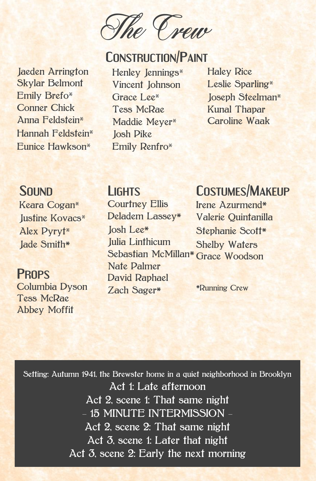The Crew

# **CONSTRUCTION/PAINT**

Jaeden Arrington Skylar Belmont Emily Brefo Conner Chick Anna Feldstein Hannah Feldstein Eunice Hawkson

Henley Jennings Vincent Johnson Grace Lee<sup>\*</sup> Tess McRae Maddie Meyer\* Josh Pike Emily Renfro

Haley Rice Leslie Sparling\* Joseph Steelman<sup>\*</sup> Kunal Thapar Caroline Waak

### S**OUND**

Keara Cogan Justine Kovacs Alex Pyryt Jade Smith

### **PROPS**

Columbia Dyson Tess McRae Abbey Moffit

### **LIGHTS**

**Courtney Ellis** Deladem Lassey Josh Lee Julia Linthicum Sebastian McMillan\* Nate Palmer David Raphael Zach Sager

## **COSTUMES/MAKEUP**

Irene Azurmend Valerie Quintanilla Stephanie Scott\* Shelby Waters Grace Woodson

Running Crew

Setting: Autumn 1941, the Brewster home in a quiet neighborhood in Brooklyn Act 1: Late afternoon Act 2, scene 1: That same night - 15 MINUTE INTERMISSION -Act 2, scene 2: That same night Act 3, scene 1: Later that night Act 3, scene 2: Early the next morning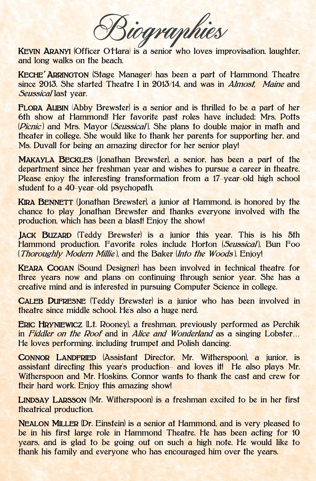iographies

KEVIN ARANYI (Officer O'Hara) is a senior who loves improvisation, laughter, and long walks on the beach.

KECHE' ARRINGTON (Stage Manager) has been a part of Hammond Theatre since 2013. She started Theatre I in 2013/14, and was in *Almost. Maine* and Seussical last year.

FLORA AUBIN (Abby Brewster) is a senior and is thrilled to be a part of her 6th show at Hammond! Her favorite past roles have included: Mrs. Potts (*Picnic*) and Mrs. Mayor (*Seussical*). She plans to double major in math and theater in college. She would like to thank her parents for supporting her, and Ms. Duvall for being an amazing director for her senior play!

MAKAYLA BECKLES (Jonathan Brewster), a senior, has been a part of the department since her freshman year and wishes to pursue a career in theatre. Please enjoy the interesting transformation from a 17-year-old high school student to a 40-year-old psychopath.

KIRA BENNETT (Jonathan Brewster), a junior at Hammond, is honored by the chance to play Jonathan Brewster and thanks everyone involved with the production, which has been a blast! Enjoy the show!

JACK BUZARD (Teddy Brewster) is a junior this year. This is his 5th Hammond production. Favorite roles include Horton (Seussical), Bun Foo (Thoroughly Modern Millie), and the Baker (Into the Woods). Enjoy!

KEARA COGAN (Sound Designer) has been involved in technical theatre for three years now and plans on continuing through senior year. She has a creative mind and is interested in pursuing Computer Science in college.

CALEB DUFRESNE (Teddy Brewster) is a junior who has been involved in theatre since middle school. He's also a huge nerd.

ERIC HRYNIEWICZ (Lt. Rooney), a freshman, previously performed as Perchik in Fiddler on the Roof and in Alice and Wonderland as a singing Lobster… He loves performing, including trumpet and Polish dancing.

CONNOR LANDFRIED (Assistant Director, Mr. Witherspoon), a junior, is assistant directing this year's production- and loves it! He also plays Mr. Witherspoon and Mr. Hoskins. Connor wants to thank the cast and crew for their hard work. Enjoy this amazing show!

LINDSAY LARSSON (Mr. Witherspoon) is a freshman excited to be in her first theatrical production.

NEALON MILLER (Dr. Einstein) is a senior at Hammond, and is very pleased to be in his first large role in Hammond Theatre. He has been acting for 10 years, and is glad to be going out on such a high note. He would like to thank his family and everyone who has encouraged him over the years.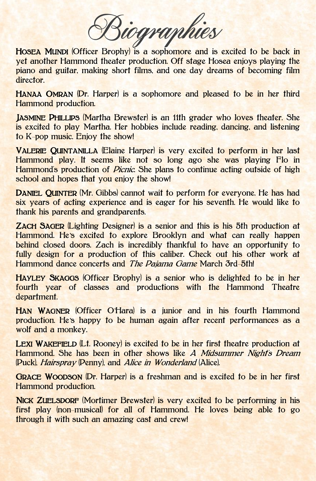Biographies

HOSEA MUNDI (Officer Brophy) is a sophomore and is excited to be back in yet another Hammond theater production. Off stage Hosea enjoys playing the piano and guitar, making short films, and one day dreams of becoming film director.

HANAA OMRAN (Dr. Harper) is a sophomore and pleased to be in her third Hammond production.

JASMINE PHILLIPS (Martha Brewster) is an 11th grader who loves theater. She is excited to play Martha. Her hobbies include reading, dancing, and listening to K-pop music. Enjoy the show!

VALERIE QUINTANILLA (Elaine Harper) is very excited to perform in her last Hammond play. It seems like not so long ago she was playing Flo in Hammond's production of *Picnic*. She plans to continue acting outside of high school and hopes that you enjoy the show!

DANIEL QUINTER (Mr. Gibbs) cannot wait to perform for everyone. He has had six years of acting experience and is eager for his seventh. He would like to thank his parents and grandparents.

ZACH SAGER (Lighting Designer) is a senior and this is his 5th production at Hammond. He's excited to explore Brooklyn and what can really happen behind closed doors. Zach is incredibly thankful to have an opportunity to fully design for a production of this caliber. Check out his other work at Hammond dance concerts and *The Pajama Game* March 3rd-5th!

HAYLEY SKAGGS (Officer Brophy) is a senior who is delighted to be in her fourth year of classes and productions with the Hammond Theatre department.

HAN WAGNER (Officer O'Hara) is a junior and in his fourth Hammond production. He's happy to be human again after recent performances as a wolf and a monkey.

LEXI WAKEFIELD (Lt. Rooney) is excited to be in her first theatre production at Hammond. She has been in other shows like A Midsummer Night's Dream (Puck), Hairspray (Penny), and Alice in Wonderland (Alice).

GRACE WOODSON (Dr. Harper) is a freshman and is excited to be in her first Hammond production.

NICK ZUELSDORF (Mortimer Brewster) is very excited to be performing in his first play (non-musical) for all of Hammond. He loves being able to go through it with such an amazing cast and crew!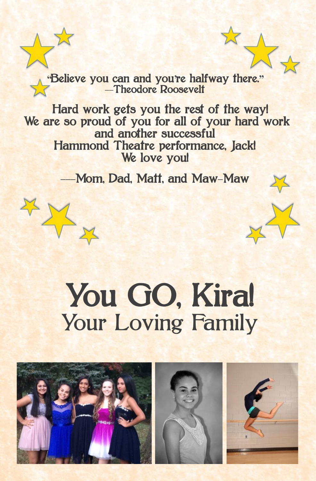**"**Believe you can and you**'**re halfway there.**"** — Theodore Roosevelt

 Hard work gets you the rest of the way! We are so proud of you for all of your hard work and another successful Hammond Theatre performance, Jack! We love you!

-Mom, Dad, Matt, and Maw-Maw

Y

# You GO, Kira! Your Loving Family

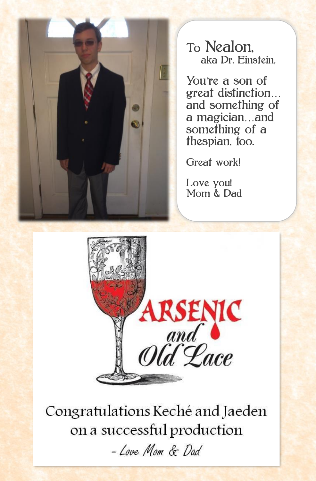

To Nealon, aka Dr. Einstein,

You're a son of great distinction… and something of a magician…and something of a thespian, too.

Great work!

Love you! Mom & Dad



Congratulations Keché and Jaeden on a successful production

- Love Mom & Dad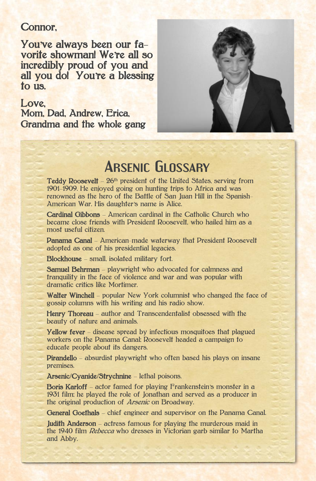### Connor,

You**'**ve always been our favorite showman! We**'**re all so incredibly proud of you and all you do! You**'**re a blessing to us.

#### Love.

Mom, Dad, Andrew, Erica, Grandma and the whole gang



## **Arsenic Glossary**

Teddy Roosevelt – 26th president of the United States, serving from 1901–1909. He enjoyed going on hunting trips to Africa and was renowned as the hero of the Battle of San Juan Hill in the Spanish-American War. His daughter's name is Alice.

Cardinal Gibbons – American cardinal in the Catholic Church who became close friends with President Roosevelt, who hailed him as a most useful citizen.

Panama Canal – American-made waterway that President Roosevelt adopted as one of his presidential legacies.

Blockhouse – small, isolated military fort.

Samuel Behrman - playwright who advocated for calmness and tranquility in the face of violence and war and was popular with dramatic critics like Mortimer.

Walter Winchell – popular New York columnist who changed the face of gossip columns with his writing and his radio show.

Henry Thoreau – author and Transcendentalist obsessed with the beauty of nature and animals.

Yellow fever – disease spread by infectious mosquitoes that plagued workers on the Panama Canal; Roosevelt headed a campaign to educate people about its dangers.

Pirandello – absurdist playwright who often based his plays on insane premises.

Arsenic/Cyanide/Strychnine – lethal poisons.

Boris Karloff – actor famed for playing Frankenstein's monster in a 1931 film; he played the role of Jonathan and served as a producer in the original production of Arsenic on Broadway.

General Goethals – chief engineer and supervisor on the Panama Canal.

**Judith Anderson** – actress famous for playing the murderous maid in the 1940 film Rebecca who dresses in Victorian garb similar to Martha and Abby.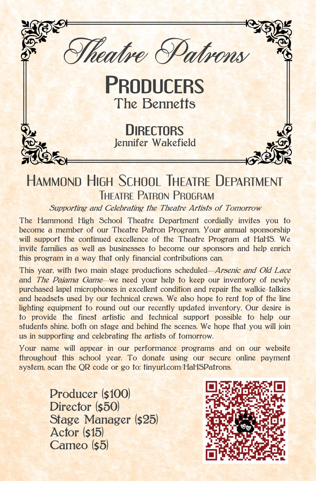

# HAMMOND HIGH SCHOOL THEATRE DEPARTMENT THEATRE PATRON PROGRAM

Supporting and Celebrating the Theatre Artists of Tomorrow

The Hammond High School Theatre Department cordially invites you to become a member of our Theatre Patron Program. Your annual sponsorship will support the continued excellence of the Theatre Program at HaHS. We invite families as well as businesses to become our sponsors and help enrich this program in a way that only financial contributions can.

This year, with two main stage productions scheduled—Arsenic and Old Lace and The Pajama Game—we need your help to keep our inventory of newly purchased lapel microphones in excellent condition and repair the walkie-talkies and headsets used by our technical crews. We also hope to rent top of the line lighting equipment to round out our recently updated inventory. Our desire is to provide the finest artistic and technical support possible to help our students shine, both on stage and behind the scenes. We hope that you will join us in supporting and celebrating the artists of tomorrow.

Your name will appear in our performance programs and on our website throughout this school year. To donate using our secure online payment system, scan the QR code or go to: tinyurl.com/HaHSPatrons.

> Producer (\$100) Director (550) Stage Manager (\$25) Actor (s15) Cameo (s5)